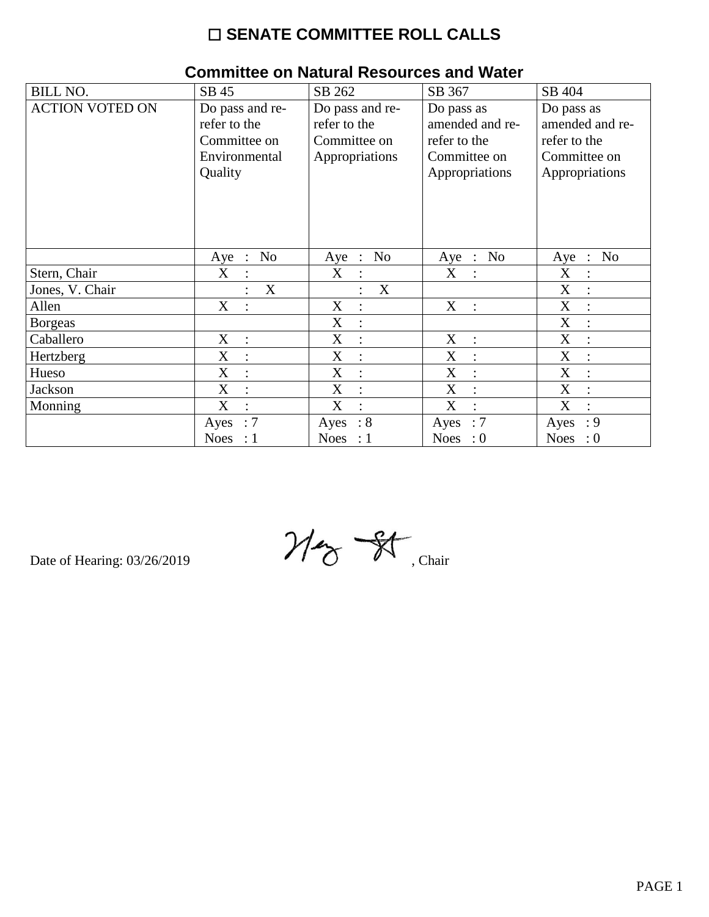## ☐ **SENATE COMMITTEE ROLL CALLS**

| <b>BILL NO.</b>        | SB 45                                                                       | SB 262                                                            | SB 367                                                                          | SB 404                                                                          |
|------------------------|-----------------------------------------------------------------------------|-------------------------------------------------------------------|---------------------------------------------------------------------------------|---------------------------------------------------------------------------------|
| <b>ACTION VOTED ON</b> | Do pass and re-<br>refer to the<br>Committee on<br>Environmental<br>Quality | Do pass and re-<br>refer to the<br>Committee on<br>Appropriations | Do pass as<br>amended and re-<br>refer to the<br>Committee on<br>Appropriations | Do pass as<br>amended and re-<br>refer to the<br>Committee on<br>Appropriations |
| Stern, Chair           | No<br>$Aye$ :<br>X                                                          | N <sub>o</sub><br>Aye :<br>X<br>$\ddot{\cdot}$                    | Aye : No<br>X                                                                   | N <sub>o</sub><br>Aye<br>$\mathbb{R}^n$<br>$\boldsymbol{\mathrm{X}}$            |
| Jones, V. Chair        | X                                                                           | X<br>$\ddot{\cdot}$                                               |                                                                                 | X                                                                               |
| Allen                  | X                                                                           | X<br>$\ddot{\cdot}$                                               | X<br>$\cdot$ :                                                                  | X                                                                               |
| <b>Borgeas</b>         |                                                                             | X<br>$\vdots$                                                     |                                                                                 | X                                                                               |
| Caballero              | X<br>$\ddot{\cdot}$                                                         | X<br>:                                                            | X<br>$\ddot{\cdot}$                                                             | X                                                                               |
| Hertzberg              | X<br>$\ddot{\cdot}$                                                         | X<br>$\ddot{\cdot}$                                               | X<br>$\ddot{\cdot}$                                                             | X                                                                               |
| Hueso                  | X<br>$\ddot{\cdot}$                                                         | X<br>$\vdots$                                                     | X                                                                               | X                                                                               |
| Jackson                | X                                                                           | X<br>$\ddot{\cdot}$                                               | X                                                                               | X                                                                               |
| Monning                | X<br>$\ddot{\cdot}$                                                         | X<br>$\ddot{\cdot}$                                               | X<br>$\cdot$                                                                    | X                                                                               |
|                        | $\colon$ 7<br>Ayes                                                          | $\therefore 8$<br>Ayes                                            | $\therefore 7$<br>Ayes                                                          | : 9<br>Ayes                                                                     |
|                        | Noes : $1$                                                                  | Noes : $1$                                                        | Noes : $0$                                                                      | <b>Noes</b><br>$\cdot 0$                                                        |

## **Committee on Natural Resources and Water**

Date of Hearing: 03/26/2019  $\mathcal{U}_{\mathcal{D}}$